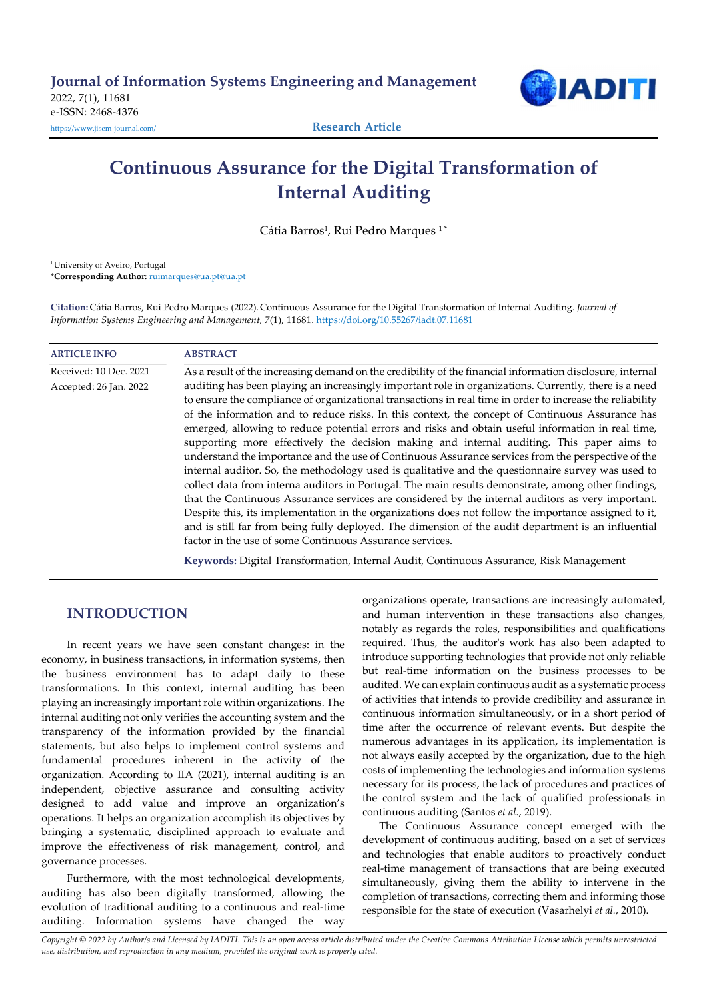

# Continuous Assurance for the Digital Transformation of Internal Auditing

Cátia Barros<sup>1</sup>, Rui Pedro Marques<sup>1</sup>\*

<sup>1</sup> University of Aveiro, Portugal

\*Corresponding Author: ruimarques@ua.pt@ua.pt

Citation: Cátia Barros, Rui Pedro Marques (2022). Continuous Assurance for the Digital Transformation of Internal Auditing. Journal of Information Systems Engineering and Management, 7(1), 11681. https://doi.org/10.55267/iadt.07.11681

## ARTICLE INFO ABSTRACT

Received: 10 Dec. 2021 As a result of the increasing demand on the credibility of the financial information disclosure, internal Accepted: 26 Jan. 2022 auditing has been playing an increasingly important role in organizations. Currently, there is a need to ensure the compliance of organizational transactions in real time in order to increase the reliability of the information and to reduce risks. In this context, the concept of Continuous Assurance has emerged, allowing to reduce potential errors and risks and obtain useful information in real time, supporting more effectively the decision making and internal auditing. This paper aims to understand the importance and the use of Continuous Assurance services from the perspective of the internal auditor. So, the methodology used is qualitative and the questionnaire survey was used to collect data from interna auditors in Portugal. The main results demonstrate, among other findings, that the Continuous Assurance services are considered by the internal auditors as very important. Despite this, its implementation in the organizations does not follow the importance assigned to it, and is still far from being fully deployed. The dimension of the audit department is an influential factor in the use of some Continuous Assurance services.

Keywords: Digital Transformation, Internal Audit, Continuous Assurance, Risk Management

# **INTRODUCTION**

In recent years we have seen constant changes: in the economy, in business transactions, in information systems, then the business environment has to adapt daily to these transformations. In this context, internal auditing has been playing an increasingly important role within organizations. The internal auditing not only verifies the accounting system and the transparency of the information provided by the financial statements, but also helps to implement control systems and fundamental procedures inherent in the activity of the organization. According to IIA (2021), internal auditing is an independent, objective assurance and consulting activity designed to add value and improve an organization's operations. It helps an organization accomplish its objectives by bringing a systematic, disciplined approach to evaluate and improve the effectiveness of risk management, control, and governance processes.

Furthermore, with the most technological developments, auditing has also been digitally transformed, allowing the evolution of traditional auditing to a continuous and real-time auditing. Information systems have changed the way organizations operate, transactions are increasingly automated, and human intervention in these transactions also changes, notably as regards the roles, responsibilities and qualifications required. Thus, the auditor's work has also been adapted to introduce supporting technologies that provide not only reliable but real-time information on the business processes to be audited. We can explain continuous audit as a systematic process of activities that intends to provide credibility and assurance in continuous information simultaneously, or in a short period of time after the occurrence of relevant events. But despite the numerous advantages in its application, its implementation is not always easily accepted by the organization, due to the high costs of implementing the technologies and information systems necessary for its process, the lack of procedures and practices of the control system and the lack of qualified professionals in continuous auditing (Santos et al., 2019).

The Continuous Assurance concept emerged with the development of continuous auditing, based on a set of services and technologies that enable auditors to proactively conduct real-time management of transactions that are being executed simultaneously, giving them the ability to intervene in the completion of transactions, correcting them and informing those responsible for the state of execution (Vasarhelyi et al., 2010).

Copyright © 2022 by Author/s and Licensed by IADITI. This is an open access article distributed under the Creative Commons Attribution License which permits unrestricted use, distribution, and reproduction in any medium, provided the original work is properly cited.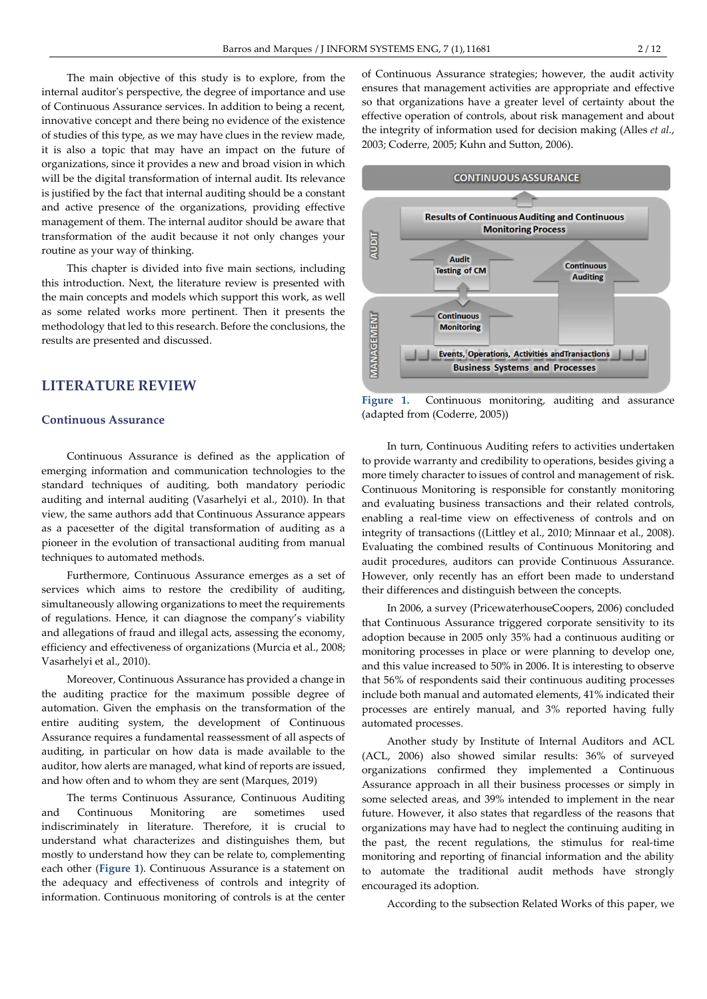The main objective of this study is to explore, from the internal auditor's perspective, the degree of importance and use of Continuous Assurance services. In addition to being a recent, innovative concept and there being no evidence of the existence of studies of this type, as we may have clues in the review made, it is also a topic that may have an impact on the future of organizations, since it provides a new and broad vision in which will be the digital transformation of internal audit. Its relevance is justified by the fact that internal auditing should be a constant and active presence of the organizations, providing effective management of them. The internal auditor should be aware that transformation of the audit because it not only changes your routine as your way of thinking.

This chapter is divided into five main sections, including this introduction. Next, the literature review is presented with the main concepts and models which support this work, as well as some related works more pertinent. Then it presents the methodology that led to this research. Before the conclusions, the results are presented and discussed.

# LITERATURE REVIEW

#### Continuous Assurance

Continuous Assurance is defined as the application of emerging information and communication technologies to the standard techniques of auditing, both mandatory periodic auditing and internal auditing (Vasarhelyi et al., 2010). In that view, the same authors add that Continuous Assurance appears as a pacesetter of the digital transformation of auditing as a pioneer in the evolution of transactional auditing from manual techniques to automated methods.

Furthermore, Continuous Assurance emerges as a set of services which aims to restore the credibility of auditing, simultaneously allowing organizations to meet the requirements of regulations. Hence, it can diagnose the company's viability and allegations of fraud and illegal acts, assessing the economy, efficiency and effectiveness of organizations (Murcia et al., 2008; Vasarhelyi et al., 2010).

Moreover, Continuous Assurance has provided a change in the auditing practice for the maximum possible degree of automation. Given the emphasis on the transformation of the entire auditing system, the development of Continuous Assurance requires a fundamental reassessment of all aspects of auditing, in particular on how data is made available to the auditor, how alerts are managed, what kind of reports are issued, and how often and to whom they are sent (Marques, 2019)

The terms Continuous Assurance, Continuous Auditing and Continuous Monitoring are sometimes used indiscriminately in literature. Therefore, it is crucial to understand what characterizes and distinguishes them, but mostly to understand how they can be relate to, complementing each other (Figure 1). Continuous Assurance is a statement on the adequacy and effectiveness of controls and integrity of information. Continuous monitoring of controls is at the center of Continuous Assurance strategies; however, the audit activity ensures that management activities are appropriate and effective so that organizations have a greater level of certainty about the effective operation of controls, about risk management and about the integrity of information used for decision making (Alles et al., 2003; Coderre, 2005; Kuhn and Sutton, 2006).



Figure 1. Continuous monitoring, auditing and assurance (adapted from (Coderre, 2005))

In turn, Continuous Auditing refers to activities undertaken to provide warranty and credibility to operations, besides giving a more timely character to issues of control and management of risk. Continuous Monitoring is responsible for constantly monitoring and evaluating business transactions and their related controls, enabling a real-time view on effectiveness of controls and on integrity of transactions ((Littley et al., 2010; Minnaar et al., 2008). Evaluating the combined results of Continuous Monitoring and audit procedures, auditors can provide Continuous Assurance. However, only recently has an effort been made to understand their differences and distinguish between the concepts.

In 2006, a survey (PricewaterhouseCoopers, 2006) concluded that Continuous Assurance triggered corporate sensitivity to its adoption because in 2005 only 35% had a continuous auditing or monitoring processes in place or were planning to develop one, and this value increased to 50% in 2006. It is interesting to observe that 56% of respondents said their continuous auditing processes include both manual and automated elements, 41% indicated their processes are entirely manual, and 3% reported having fully automated processes.

Another study by Institute of Internal Auditors and ACL (ACL, 2006) also showed similar results: 36% of surveyed organizations confirmed they implemented a Continuous Assurance approach in all their business processes or simply in some selected areas, and 39% intended to implement in the near future. However, it also states that regardless of the reasons that organizations may have had to neglect the continuing auditing in the past, the recent regulations, the stimulus for real-time monitoring and reporting of financial information and the ability to automate the traditional audit methods have strongly encouraged its adoption.

According to the subsection Related Works of this paper, we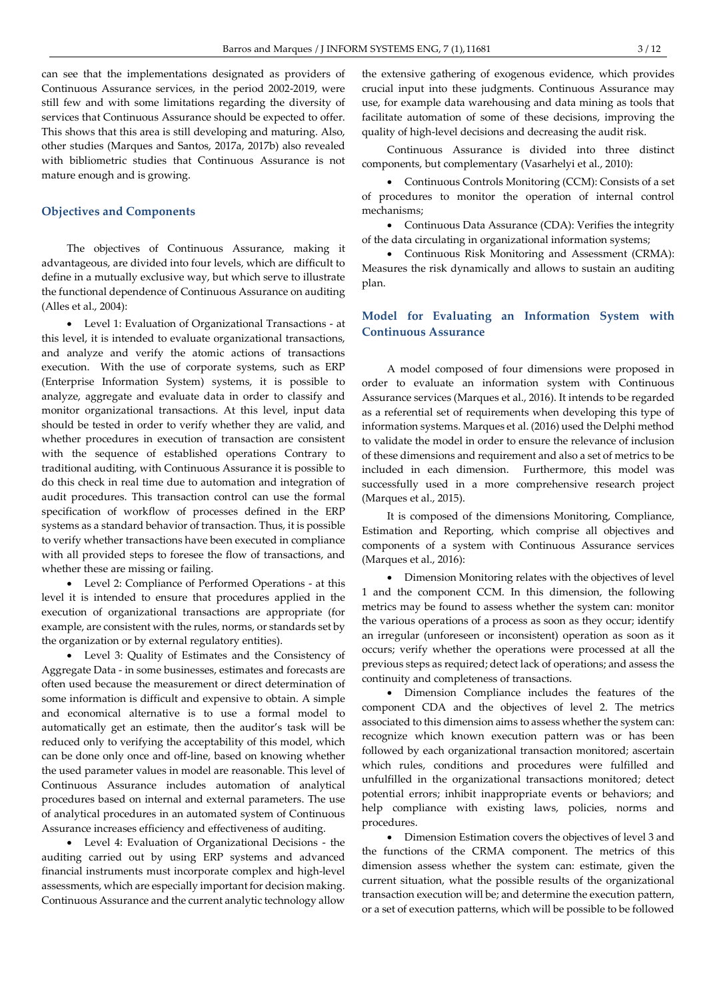can see that the implementations designated as providers of Continuous Assurance services, in the period 2002-2019, were still few and with some limitations regarding the diversity of services that Continuous Assurance should be expected to offer. This shows that this area is still developing and maturing. Also, other studies (Marques and Santos, 2017a, 2017b) also revealed with bibliometric studies that Continuous Assurance is not mature enough and is growing.

#### Objectives and Components

The objectives of Continuous Assurance, making it advantageous, are divided into four levels, which are difficult to define in a mutually exclusive way, but which serve to illustrate the functional dependence of Continuous Assurance on auditing (Alles et al., 2004):

 Level 1: Evaluation of Organizational Transactions - at this level, it is intended to evaluate organizational transactions, and analyze and verify the atomic actions of transactions execution. With the use of corporate systems, such as ERP (Enterprise Information System) systems, it is possible to analyze, aggregate and evaluate data in order to classify and monitor organizational transactions. At this level, input data should be tested in order to verify whether they are valid, and whether procedures in execution of transaction are consistent with the sequence of established operations Contrary to traditional auditing, with Continuous Assurance it is possible to do this check in real time due to automation and integration of audit procedures. This transaction control can use the formal specification of workflow of processes defined in the ERP systems as a standard behavior of transaction. Thus, it is possible to verify whether transactions have been executed in compliance with all provided steps to foresee the flow of transactions, and whether these are missing or failing.

 Level 2: Compliance of Performed Operations - at this level it is intended to ensure that procedures applied in the execution of organizational transactions are appropriate (for example, are consistent with the rules, norms, or standards set by the organization or by external regulatory entities).

 Level 3: Quality of Estimates and the Consistency of Aggregate Data - in some businesses, estimates and forecasts are often used because the measurement or direct determination of some information is difficult and expensive to obtain. A simple and economical alternative is to use a formal model to automatically get an estimate, then the auditor's task will be reduced only to verifying the acceptability of this model, which can be done only once and off-line, based on knowing whether the used parameter values in model are reasonable. This level of Continuous Assurance includes automation of analytical procedures based on internal and external parameters. The use of analytical procedures in an automated system of Continuous Assurance increases efficiency and effectiveness of auditing.

 Level 4: Evaluation of Organizational Decisions - the auditing carried out by using ERP systems and advanced financial instruments must incorporate complex and high-level assessments, which are especially important for decision making. Continuous Assurance and the current analytic technology allow the extensive gathering of exogenous evidence, which provides crucial input into these judgments. Continuous Assurance may use, for example data warehousing and data mining as tools that facilitate automation of some of these decisions, improving the quality of high-level decisions and decreasing the audit risk.

Continuous Assurance is divided into three distinct components, but complementary (Vasarhelyi et al., 2010):

 Continuous Controls Monitoring (CCM): Consists of a set of procedures to monitor the operation of internal control mechanisms;

 Continuous Data Assurance (CDA): Verifies the integrity of the data circulating in organizational information systems;

 Continuous Risk Monitoring and Assessment (CRMA): Measures the risk dynamically and allows to sustain an auditing plan.

## Model for Evaluating an Information System with Continuous Assurance

A model composed of four dimensions were proposed in order to evaluate an information system with Continuous Assurance services (Marques et al., 2016). It intends to be regarded as a referential set of requirements when developing this type of information systems. Marques et al. (2016) used the Delphi method to validate the model in order to ensure the relevance of inclusion of these dimensions and requirement and also a set of metrics to be included in each dimension. Furthermore, this model was successfully used in a more comprehensive research project (Marques et al., 2015).

It is composed of the dimensions Monitoring, Compliance, Estimation and Reporting, which comprise all objectives and components of a system with Continuous Assurance services (Marques et al., 2016):

 Dimension Monitoring relates with the objectives of level 1 and the component CCM. In this dimension, the following metrics may be found to assess whether the system can: monitor the various operations of a process as soon as they occur; identify an irregular (unforeseen or inconsistent) operation as soon as it occurs; verify whether the operations were processed at all the previous steps as required; detect lack of operations; and assess the continuity and completeness of transactions.

 Dimension Compliance includes the features of the component CDA and the objectives of level 2. The metrics associated to this dimension aims to assess whether the system can: recognize which known execution pattern was or has been followed by each organizational transaction monitored; ascertain which rules, conditions and procedures were fulfilled and unfulfilled in the organizational transactions monitored; detect potential errors; inhibit inappropriate events or behaviors; and help compliance with existing laws, policies, norms and procedures.

 Dimension Estimation covers the objectives of level 3 and the functions of the CRMA component. The metrics of this dimension assess whether the system can: estimate, given the current situation, what the possible results of the organizational transaction execution will be; and determine the execution pattern, or a set of execution patterns, which will be possible to be followed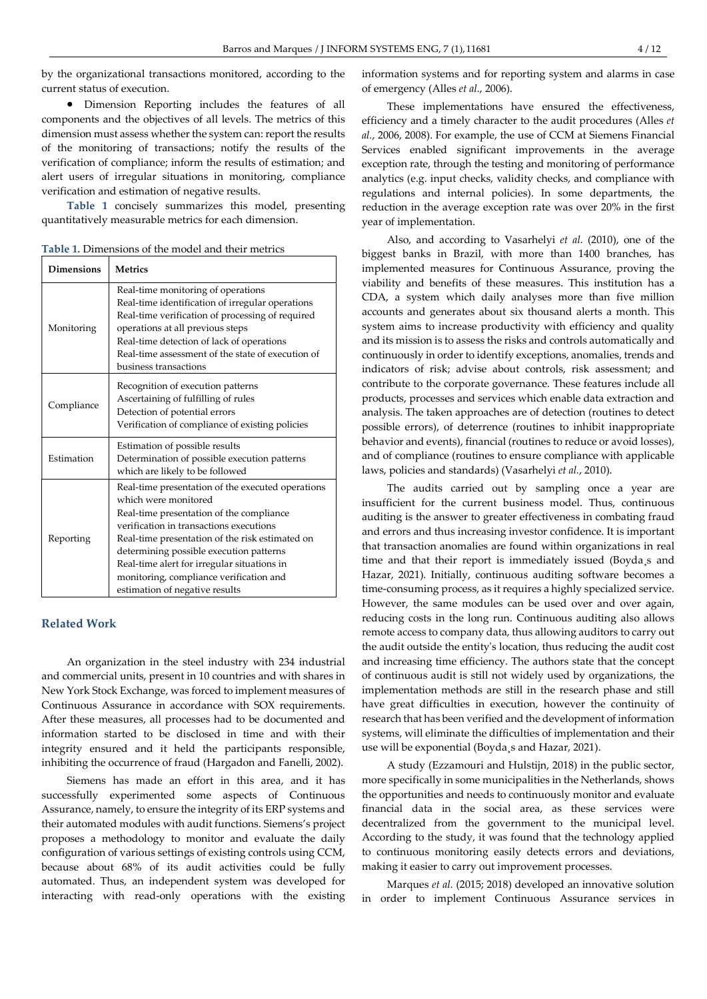by the organizational transactions monitored, according to the current status of execution.

 Dimension Reporting includes the features of all components and the objectives of all levels. The metrics of this dimension must assess whether the system can: report the results of the monitoring of transactions; notify the results of the verification of compliance; inform the results of estimation; and alert users of irregular situations in monitoring, compliance verification and estimation of negative results.

Table 1 concisely summarizes this model, presenting quantitatively measurable metrics for each dimension.

Table 1. Dimensions of the model and their metrics

| <b>Dimensions</b> | <b>Metrics</b>                                                                                                                                                                                                                                                                                                                                                                             |
|-------------------|--------------------------------------------------------------------------------------------------------------------------------------------------------------------------------------------------------------------------------------------------------------------------------------------------------------------------------------------------------------------------------------------|
| Monitoring        | Real-time monitoring of operations<br>Real-time identification of irregular operations<br>Real-time verification of processing of required<br>operations at all previous steps<br>Real-time detection of lack of operations<br>Real-time assessment of the state of execution of<br>business transactions                                                                                  |
| Compliance        | Recognition of execution patterns<br>Ascertaining of fulfilling of rules<br>Detection of potential errors<br>Verification of compliance of existing policies                                                                                                                                                                                                                               |
| Estimation        | Estimation of possible results<br>Determination of possible execution patterns<br>which are likely to be followed                                                                                                                                                                                                                                                                          |
| Reporting         | Real-time presentation of the executed operations<br>which were monitored<br>Real-time presentation of the compliance<br>verification in transactions executions<br>Real-time presentation of the risk estimated on<br>determining possible execution patterns<br>Real-time alert for irregular situations in<br>monitoring, compliance verification and<br>estimation of negative results |

## Related Work

An organization in the steel industry with 234 industrial and commercial units, present in 10 countries and with shares in New York Stock Exchange, was forced to implement measures of Continuous Assurance in accordance with SOX requirements. After these measures, all processes had to be documented and information started to be disclosed in time and with their integrity ensured and it held the participants responsible, inhibiting the occurrence of fraud (Hargadon and Fanelli, 2002).

Siemens has made an effort in this area, and it has successfully experimented some aspects of Continuous Assurance, namely, to ensure the integrity of its ERP systems and their automated modules with audit functions. Siemens's project proposes a methodology to monitor and evaluate the daily configuration of various settings of existing controls using CCM, because about 68% of its audit activities could be fully automated. Thus, an independent system was developed for interacting with read-only operations with the existing information systems and for reporting system and alarms in case of emergency (Alles et al., 2006).

These implementations have ensured the effectiveness, efficiency and a timely character to the audit procedures (Alles et al., 2006, 2008). For example, the use of CCM at Siemens Financial Services enabled significant improvements in the average exception rate, through the testing and monitoring of performance analytics (e.g. input checks, validity checks, and compliance with regulations and internal policies). In some departments, the reduction in the average exception rate was over 20% in the first year of implementation.

Also, and according to Vasarhelyi et al. (2010), one of the biggest banks in Brazil, with more than 1400 branches, has implemented measures for Continuous Assurance, proving the viability and benefits of these measures. This institution has a CDA, a system which daily analyses more than five million accounts and generates about six thousand alerts a month. This system aims to increase productivity with efficiency and quality and its mission is to assess the risks and controls automatically and continuously in order to identify exceptions, anomalies, trends and indicators of risk; advise about controls, risk assessment; and contribute to the corporate governance. These features include all products, processes and services which enable data extraction and analysis. The taken approaches are of detection (routines to detect possible errors), of deterrence (routines to inhibit inappropriate behavior and events), financial (routines to reduce or avoid losses), and of compliance (routines to ensure compliance with applicable laws, policies and standards) (Vasarhelyi et al., 2010).

The audits carried out by sampling once a year are insufficient for the current business model. Thus, continuous auditing is the answer to greater effectiveness in combating fraud and errors and thus increasing investor confidence. It is important that transaction anomalies are found within organizations in real time and that their report is immediately issued (Boyda¸s and Hazar, 2021). Initially, continuous auditing software becomes a time-consuming process, as it requires a highly specialized service. However, the same modules can be used over and over again, reducing costs in the long run. Continuous auditing also allows remote access to company data, thus allowing auditors to carry out the audit outside the entity's location, thus reducing the audit cost and increasing time efficiency. The authors state that the concept of continuous audit is still not widely used by organizations, the implementation methods are still in the research phase and still have great difficulties in execution, however the continuity of research that has been verified and the development of information systems, will eliminate the difficulties of implementation and their use will be exponential (Boyda¸s and Hazar, 2021).

A study (Ezzamouri and Hulstijn, 2018) in the public sector, more specifically in some municipalities in the Netherlands, shows the opportunities and needs to continuously monitor and evaluate financial data in the social area, as these services were decentralized from the government to the municipal level. According to the study, it was found that the technology applied to continuous monitoring easily detects errors and deviations, making it easier to carry out improvement processes.

Marques et al. (2015; 2018) developed an innovative solution in order to implement Continuous Assurance services in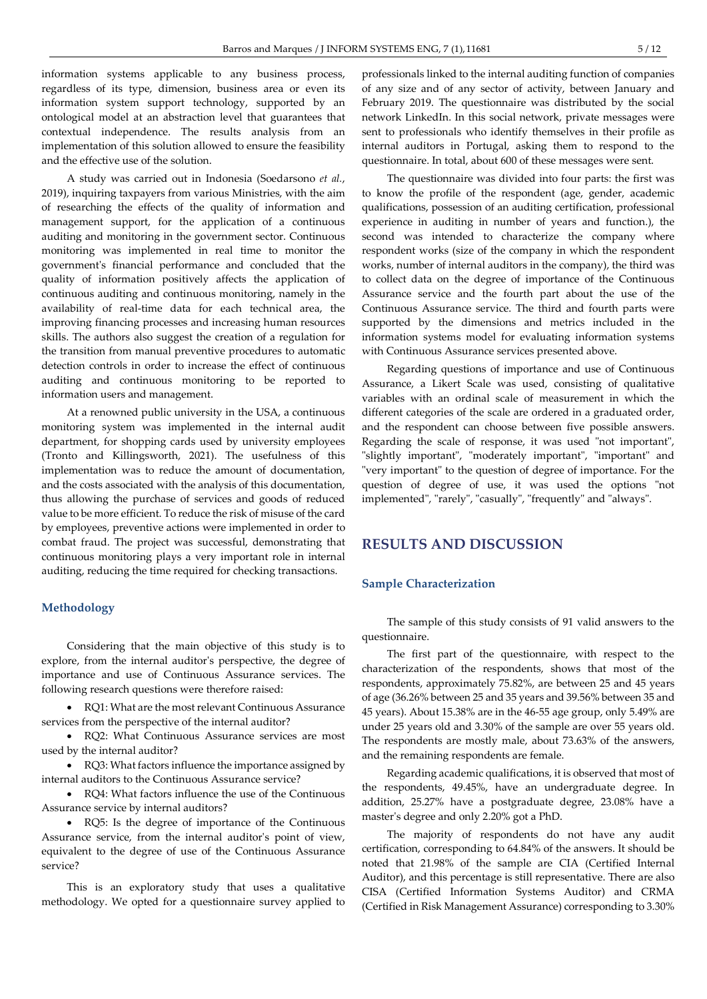information systems applicable to any business process, regardless of its type, dimension, business area or even its information system support technology, supported by an ontological model at an abstraction level that guarantees that contextual independence. The results analysis from an implementation of this solution allowed to ensure the feasibility and the effective use of the solution.

A study was carried out in Indonesia (Soedarsono et al., 2019), inquiring taxpayers from various Ministries, with the aim of researching the effects of the quality of information and management support, for the application of a continuous auditing and monitoring in the government sector. Continuous monitoring was implemented in real time to monitor the government's financial performance and concluded that the quality of information positively affects the application of continuous auditing and continuous monitoring, namely in the availability of real-time data for each technical area, the improving financing processes and increasing human resources skills. The authors also suggest the creation of a regulation for the transition from manual preventive procedures to automatic detection controls in order to increase the effect of continuous auditing and continuous monitoring to be reported to information users and management.

At a renowned public university in the USA, a continuous monitoring system was implemented in the internal audit department, for shopping cards used by university employees (Tronto and Killingsworth, 2021). The usefulness of this implementation was to reduce the amount of documentation, and the costs associated with the analysis of this documentation, thus allowing the purchase of services and goods of reduced value to be more efficient. To reduce the risk of misuse of the card by employees, preventive actions were implemented in order to combat fraud. The project was successful, demonstrating that continuous monitoring plays a very important role in internal auditing, reducing the time required for checking transactions.

## Methodology

Considering that the main objective of this study is to explore, from the internal auditor's perspective, the degree of importance and use of Continuous Assurance services. The following research questions were therefore raised:

 RQ1: What are the most relevant Continuous Assurance services from the perspective of the internal auditor?

 RQ2: What Continuous Assurance services are most used by the internal auditor?

• RQ3: What factors influence the importance assigned by internal auditors to the Continuous Assurance service?

 RQ4: What factors influence the use of the Continuous Assurance service by internal auditors?

 RQ5: Is the degree of importance of the Continuous Assurance service, from the internal auditor's point of view, equivalent to the degree of use of the Continuous Assurance service?

This is an exploratory study that uses a qualitative methodology. We opted for a questionnaire survey applied to

professionals linked to the internal auditing function of companies of any size and of any sector of activity, between January and February 2019. The questionnaire was distributed by the social network LinkedIn. In this social network, private messages were sent to professionals who identify themselves in their profile as internal auditors in Portugal, asking them to respond to the questionnaire. In total, about 600 of these messages were sent.

The questionnaire was divided into four parts: the first was to know the profile of the respondent (age, gender, academic qualifications, possession of an auditing certification, professional experience in auditing in number of years and function.), the second was intended to characterize the company where respondent works (size of the company in which the respondent works, number of internal auditors in the company), the third was to collect data on the degree of importance of the Continuous Assurance service and the fourth part about the use of the Continuous Assurance service. The third and fourth parts were supported by the dimensions and metrics included in the information systems model for evaluating information systems with Continuous Assurance services presented above.

Regarding questions of importance and use of Continuous Assurance, a Likert Scale was used, consisting of qualitative variables with an ordinal scale of measurement in which the different categories of the scale are ordered in a graduated order, and the respondent can choose between five possible answers. Regarding the scale of response, it was used "not important", "slightly important", "moderately important", "important" and "very important" to the question of degree of importance. For the question of degree of use, it was used the options "not implemented", "rarely", "casually", "frequently" and "always".

# RESULTS AND DISCUSSION

#### Sample Characterization

The sample of this study consists of 91 valid answers to the questionnaire.

The first part of the questionnaire, with respect to the characterization of the respondents, shows that most of the respondents, approximately 75.82%, are between 25 and 45 years of age (36.26% between 25 and 35 years and 39.56% between 35 and 45 years). About 15.38% are in the 46-55 age group, only 5.49% are under 25 years old and 3.30% of the sample are over 55 years old. The respondents are mostly male, about 73.63% of the answers, and the remaining respondents are female.

Regarding academic qualifications, it is observed that most of the respondents, 49.45%, have an undergraduate degree. In addition, 25.27% have a postgraduate degree, 23.08% have a master's degree and only 2.20% got a PhD.

The majority of respondents do not have any audit certification, corresponding to 64.84% of the answers. It should be noted that 21.98% of the sample are CIA (Certified Internal Auditor), and this percentage is still representative. There are also CISA (Certified Information Systems Auditor) and CRMA (Certified in Risk Management Assurance) corresponding to 3.30%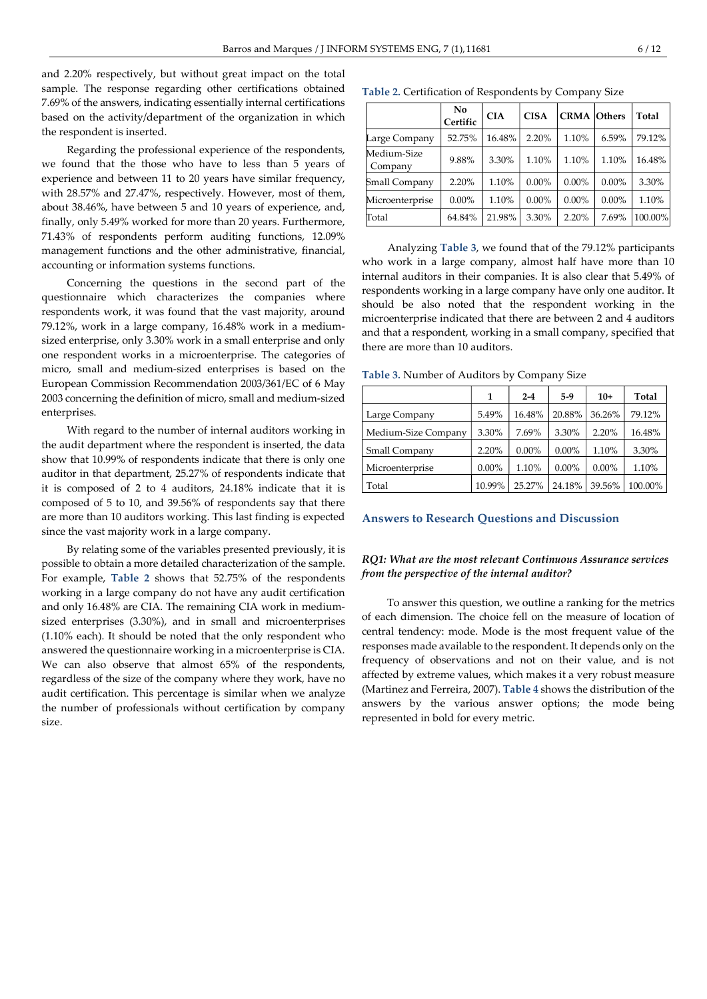and 2.20% respectively, but without great impact on the total sample. The response regarding other certifications obtained 7.69% of the answers, indicating essentially internal certifications based on the activity/department of the organization in which the respondent is inserted.

Regarding the professional experience of the respondents, we found that the those who have to less than 5 years of experience and between 11 to 20 years have similar frequency, with 28.57% and 27.47%, respectively. However, most of them, about 38.46%, have between 5 and 10 years of experience, and, finally, only 5.49% worked for more than 20 years. Furthermore, 71.43% of respondents perform auditing functions, 12.09% management functions and the other administrative, financial, accounting or information systems functions.

Concerning the questions in the second part of the questionnaire which characterizes the companies where respondents work, it was found that the vast majority, around 79.12%, work in a large company, 16.48% work in a mediumsized enterprise, only 3.30% work in a small enterprise and only one respondent works in a microenterprise. The categories of micro, small and medium-sized enterprises is based on the European Commission Recommendation 2003/361/EC of 6 May 2003 concerning the definition of micro, small and medium-sized enterprises.

With regard to the number of internal auditors working in the audit department where the respondent is inserted, the data show that 10.99% of respondents indicate that there is only one auditor in that department, 25.27% of respondents indicate that it is composed of 2 to 4 auditors, 24.18% indicate that it is composed of 5 to 10, and 39.56% of respondents say that there are more than 10 auditors working. This last finding is expected since the vast majority work in a large company.

By relating some of the variables presented previously, it is possible to obtain a more detailed characterization of the sample. For example, Table 2 shows that 52.75% of the respondents working in a large company do not have any audit certification and only 16.48% are CIA. The remaining CIA work in mediumsized enterprises (3.30%), and in small and microenterprises (1.10% each). It should be noted that the only respondent who answered the questionnaire working in a microenterprise is CIA. We can also observe that almost 65% of the respondents, regardless of the size of the company where they work, have no audit certification. This percentage is similar when we analyze the number of professionals without certification by company size.

Table 2. Certification of Respondents by Company Size

|                        | No<br>Certific | <b>CIA</b> | <b>CISA</b> | <b>CRMA</b> Others |          | Total   |
|------------------------|----------------|------------|-------------|--------------------|----------|---------|
| Large Company          | 52.75%         | 16.48%     | 2.20%       | 1.10%              | 6.59%    | 79.12%  |
| Medium-Size<br>Company | 9.88%          | 3.30%      | 1.10%       | 1.10%              | 1.10%    | 16.48%  |
| Small Company          | 2.20%          | 1.10%      | $0.00\%$    | $0.00\%$           | $0.00\%$ | 3.30%   |
| Microenterprise        | $0.00\%$       | 1.10%      | $0.00\%$    | $0.00\%$           | $0.00\%$ | 1.10%   |
| Total                  | 64.84%         | 21.98%     | 3.30%       | 2.20%              | 7.69%    | 100.00% |

Analyzing Table 3, we found that of the 79.12% participants who work in a large company, almost half have more than 10 internal auditors in their companies. It is also clear that 5.49% of respondents working in a large company have only one auditor. It should be also noted that the respondent working in the microenterprise indicated that there are between 2 and 4 auditors and that a respondent, working in a small company, specified that there are more than 10 auditors.

Table 3. Number of Auditors by Company Size

|                      | 1        | $2 - 4$  | $5-9$    | $10+$    | Total   |
|----------------------|----------|----------|----------|----------|---------|
| Large Company        | 5.49%    | 16.48%   | 20.88%   | 36.26%   | 79.12%  |
| Medium-Size Company  | 3.30%    | 7.69%    | 3.30%    | 2.20%    | 16.48%  |
| <b>Small Company</b> | 2.20%    | $0.00\%$ | $0.00\%$ | 1.10%    | 3.30%   |
| Microenterprise      | $0.00\%$ | 1.10%    | $0.00\%$ | $0.00\%$ | 1.10%   |
| Total                | 10.99%   | 25.27%   | 24.18%   | 39.56%   | 100.00% |

#### Answers to Research Questions and Discussion

## RQ1: What are the most relevant Continuous Assurance services from the perspective of the internal auditor?

To answer this question, we outline a ranking for the metrics of each dimension. The choice fell on the measure of location of central tendency: mode. Mode is the most frequent value of the responses made available to the respondent. It depends only on the frequency of observations and not on their value, and is not affected by extreme values, which makes it a very robust measure (Martinez and Ferreira, 2007). Table 4 shows the distribution of the answers by the various answer options; the mode being represented in bold for every metric.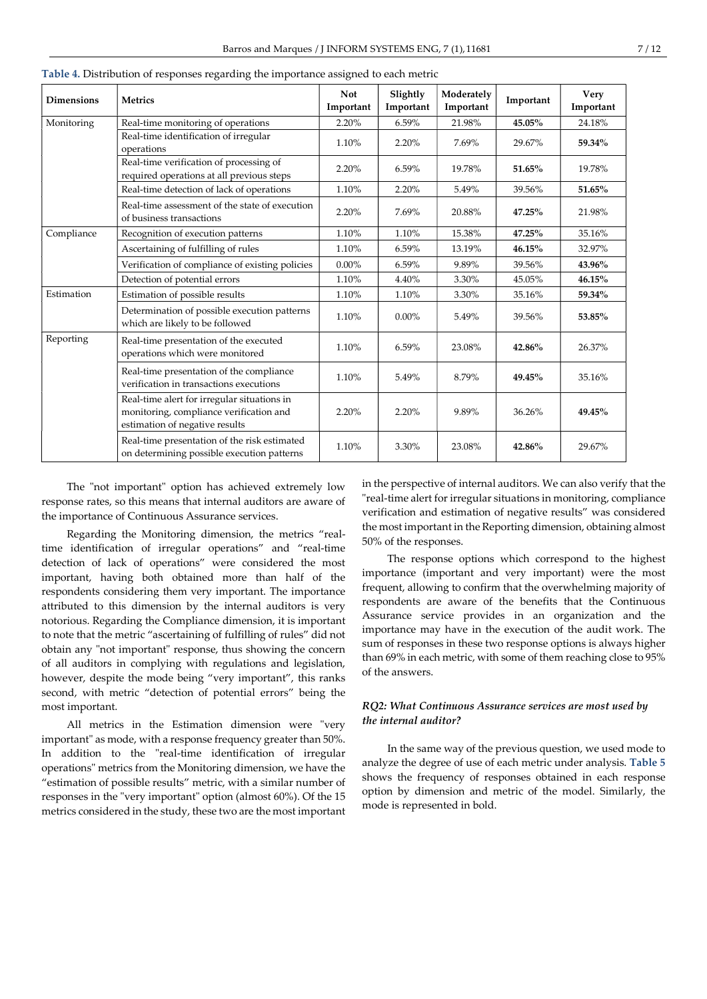| <b>Dimensions</b> | <b>Metrics</b>                                                                                                           | <b>Not</b><br>Important | Slightly<br>Important | Moderately<br>Important | Important | <b>Very</b><br>Important |
|-------------------|--------------------------------------------------------------------------------------------------------------------------|-------------------------|-----------------------|-------------------------|-----------|--------------------------|
| Monitoring        | Real-time monitoring of operations                                                                                       | 2.20%                   | 6.59%                 | 21.98%                  | 45.05%    | 24.18%                   |
|                   | Real-time identification of irregular<br>operations                                                                      | 1.10%                   | 2.20%                 | 7.69%                   | 29.67%    | 59.34%                   |
|                   | Real-time verification of processing of<br>required operations at all previous steps                                     | 2.20%                   | 6.59%                 | 19.78%                  | 51.65%    | 19.78%                   |
|                   | Real-time detection of lack of operations                                                                                | 1.10%                   | 2.20%                 | 5.49%                   | 39.56%    | 51.65%                   |
|                   | Real-time assessment of the state of execution<br>of business transactions                                               | 2.20%                   | 7.69%                 | 20.88%                  | $47.25\%$ | 21.98%                   |
| Compliance        | Recognition of execution patterns                                                                                        | 1.10%                   | 1.10%                 | 15.38%                  | 47.25%    | 35.16%                   |
|                   | Ascertaining of fulfilling of rules                                                                                      | 1.10%                   | 6.59%                 | 13.19%                  | 46.15%    | 32.97%                   |
|                   | Verification of compliance of existing policies                                                                          | $0.00\%$                | 6.59%                 | 9.89%                   | 39.56%    | 43.96%                   |
|                   | Detection of potential errors                                                                                            | 1.10%                   | 4.40%                 | 3.30%                   | 45.05%    | 46.15%                   |
| Estimation        | Estimation of possible results                                                                                           | 1.10%                   | 1.10%                 | 3.30%                   | 35.16%    | 59.34%                   |
|                   | Determination of possible execution patterns<br>which are likely to be followed                                          | 1.10%                   | $0.00\%$              | 5.49%                   | 39.56%    | 53.85%                   |
| Reporting         | Real-time presentation of the executed<br>operations which were monitored                                                | 1.10%                   | 6.59%                 | 23.08%                  | 42.86%    | 26.37%                   |
|                   | Real-time presentation of the compliance<br>verification in transactions executions                                      | 1.10%                   | 5.49%                 | 8.79%                   | 49.45%    | 35.16%                   |
|                   | Real-time alert for irregular situations in<br>monitoring, compliance verification and<br>estimation of negative results | 2.20%                   | 2.20%                 | 9.89%                   | 36.26%    | 49.45%                   |
|                   | Real-time presentation of the risk estimated<br>on determining possible execution patterns                               | 1.10%                   | 3.30%                 | 23.08%                  | 42.86%    | 29.67%                   |

Table 4. Distribution of responses regarding the importance assigned to each metric

The "not important" option has achieved extremely low response rates, so this means that internal auditors are aware of the importance of Continuous Assurance services.

Regarding the Monitoring dimension, the metrics "realtime identification of irregular operations" and "real-time detection of lack of operations" were considered the most important, having both obtained more than half of the respondents considering them very important. The importance attributed to this dimension by the internal auditors is very notorious. Regarding the Compliance dimension, it is important to note that the metric "ascertaining of fulfilling of rules" did not obtain any "not important" response, thus showing the concern of all auditors in complying with regulations and legislation, however, despite the mode being "very important", this ranks second, with metric "detection of potential errors" being the most important.

All metrics in the Estimation dimension were "very important" as mode, with a response frequency greater than 50%. In addition to the "real-time identification of irregular operations" metrics from the Monitoring dimension, we have the "estimation of possible results" metric, with a similar number of responses in the "very important" option (almost 60%). Of the 15 metrics considered in the study, these two are the most important in the perspective of internal auditors. We can also verify that the "real-time alert for irregular situations in monitoring, compliance verification and estimation of negative results" was considered the most important in the Reporting dimension, obtaining almost 50% of the responses.

The response options which correspond to the highest importance (important and very important) were the most frequent, allowing to confirm that the overwhelming majority of respondents are aware of the benefits that the Continuous Assurance service provides in an organization and the importance may have in the execution of the audit work. The sum of responses in these two response options is always higher than 69% in each metric, with some of them reaching close to 95% of the answers.

## RQ2: What Continuous Assurance services are most used by the internal auditor?

In the same way of the previous question, we used mode to analyze the degree of use of each metric under analysis. Table 5 shows the frequency of responses obtained in each response option by dimension and metric of the model. Similarly, the mode is represented in bold.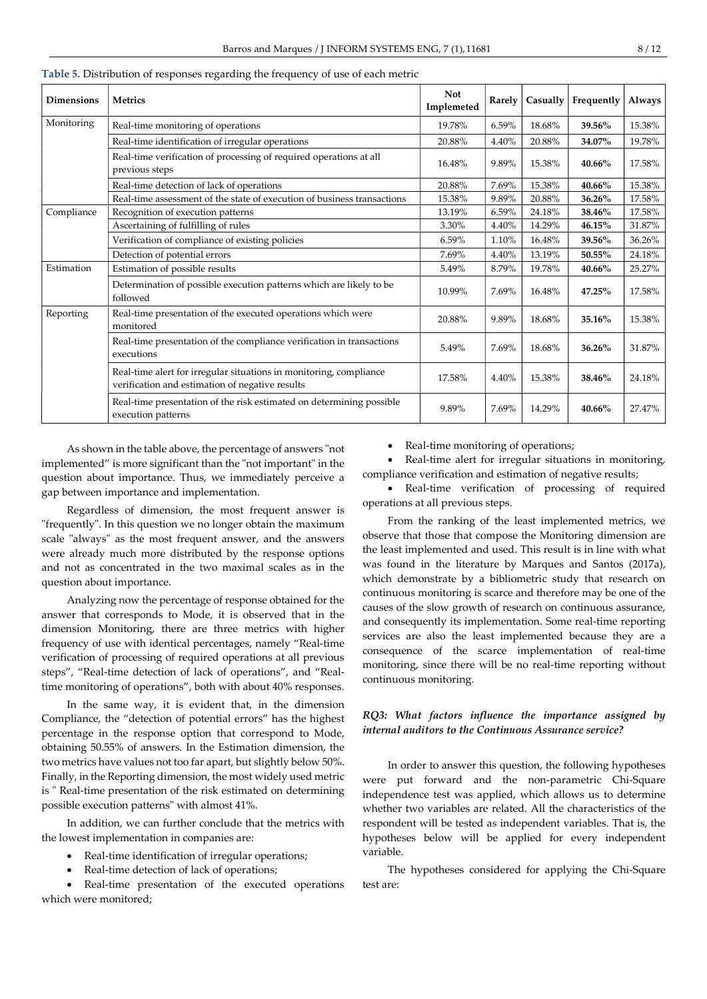| <b>Dimensions</b> | Metrics                                                                                                               | <b>Not</b><br>Implemeted | Rarely | Casually | Frequently | Always |
|-------------------|-----------------------------------------------------------------------------------------------------------------------|--------------------------|--------|----------|------------|--------|
| Monitoring        | Real-time monitoring of operations                                                                                    | 19.78%                   | 6.59%  | 18.68%   | 39.56%     | 15.38% |
|                   | Real-time identification of irregular operations                                                                      | 20.88%                   | 4.40%  | 20.88%   | 34.07%     | 19.78% |
|                   | Real-time verification of processing of required operations at all<br>previous steps                                  | 16.48%                   | 9.89%  | 15.38%   | 40.66%     | 17.58% |
|                   | Real-time detection of lack of operations                                                                             | 20.88%                   | 7.69%  | 15.38%   | 40.66%     | 15.38% |
|                   | Real-time assessment of the state of execution of business transactions                                               | 15.38%                   | 9.89%  | 20.88%   | 36.26%     | 17.58% |
| Compliance        | Recognition of execution patterns                                                                                     | 13.19%                   | 6.59%  | 24.18%   | 38.46%     | 17.58% |
|                   | Ascertaining of fulfilling of rules                                                                                   | 3.30%                    | 4.40%  | 14.29%   | 46.15%     | 31.87% |
|                   | Verification of compliance of existing policies                                                                       | 6.59%                    | 1.10%  | 16.48%   | 39.56%     | 36.26% |
|                   | Detection of potential errors                                                                                         | 7.69%                    | 4.40%  | 13.19%   | 50.55%     | 24.18% |
| Estimation        | Estimation of possible results                                                                                        | 5.49%                    | 8.79%  | 19.78%   | 40.66%     | 25.27% |
|                   | Determination of possible execution patterns which are likely to be<br>followed                                       | 10.99%                   | 7.69%  | 16.48%   | 47.25%     | 17.58% |
| Reporting         | Real-time presentation of the executed operations which were<br>monitored                                             | 20.88%                   | 9.89%  | 18.68%   | 35.16%     | 15.38% |
|                   | Real-time presentation of the compliance verification in transactions<br>executions                                   | 5.49%                    | 7.69%  | 18.68%   | 36.26%     | 31.87% |
|                   | Real-time alert for irregular situations in monitoring, compliance<br>verification and estimation of negative results | 17.58%                   | 4.40%  | 15.38%   | 38.46%     | 24.18% |
|                   | Real-time presentation of the risk estimated on determining possible<br>execution patterns                            | 9.89%                    | 7.69%  | 14.29%   | 40.66%     | 27.47% |

Table 5. Distribution of responses regarding the frequency of use of each metric

As shown in the table above, the percentage of answers "not implemented" is more significant than the "not important" in the question about importance. Thus, we immediately perceive a gap between importance and implementation.

Regardless of dimension, the most frequent answer is "frequently". In this question we no longer obtain the maximum scale "always" as the most frequent answer, and the answers were already much more distributed by the response options and not as concentrated in the two maximal scales as in the question about importance.

Analyzing now the percentage of response obtained for the answer that corresponds to Mode, it is observed that in the dimension Monitoring, there are three metrics with higher frequency of use with identical percentages, namely "Real-time verification of processing of required operations at all previous steps", "Real-time detection of lack of operations", and "Realtime monitoring of operations", both with about 40% responses.

In the same way, it is evident that, in the dimension Compliance, the "detection of potential errors" has the highest percentage in the response option that correspond to Mode, obtaining 50.55% of answers. In the Estimation dimension, the two metrics have values not too far apart, but slightly below 50%. Finally, in the Reporting dimension, the most widely used metric is " Real-time presentation of the risk estimated on determining possible execution patterns" with almost 41%.

In addition, we can further conclude that the metrics with the lowest implementation in companies are:

- Real-time identification of irregular operations;
- Real-time detection of lack of operations;

 Real-time presentation of the executed operations which were monitored;

Real-time monitoring of operations;

 Real-time alert for irregular situations in monitoring, compliance verification and estimation of negative results;

 Real-time verification of processing of required operations at all previous steps.

From the ranking of the least implemented metrics, we observe that those that compose the Monitoring dimension are the least implemented and used. This result is in line with what was found in the literature by Marques and Santos (2017a), which demonstrate by a bibliometric study that research on continuous monitoring is scarce and therefore may be one of the causes of the slow growth of research on continuous assurance, and consequently its implementation. Some real-time reporting services are also the least implemented because they are a consequence of the scarce implementation of real-time monitoring, since there will be no real-time reporting without continuous monitoring.

## RQ3: What factors influence the importance assigned by internal auditors to the Continuous Assurance service?

In order to answer this question, the following hypotheses were put forward and the non-parametric Chi-Square independence test was applied, which allows us to determine whether two variables are related. All the characteristics of the respondent will be tested as independent variables. That is, the hypotheses below will be applied for every independent variable.

The hypotheses considered for applying the Chi-Square test are: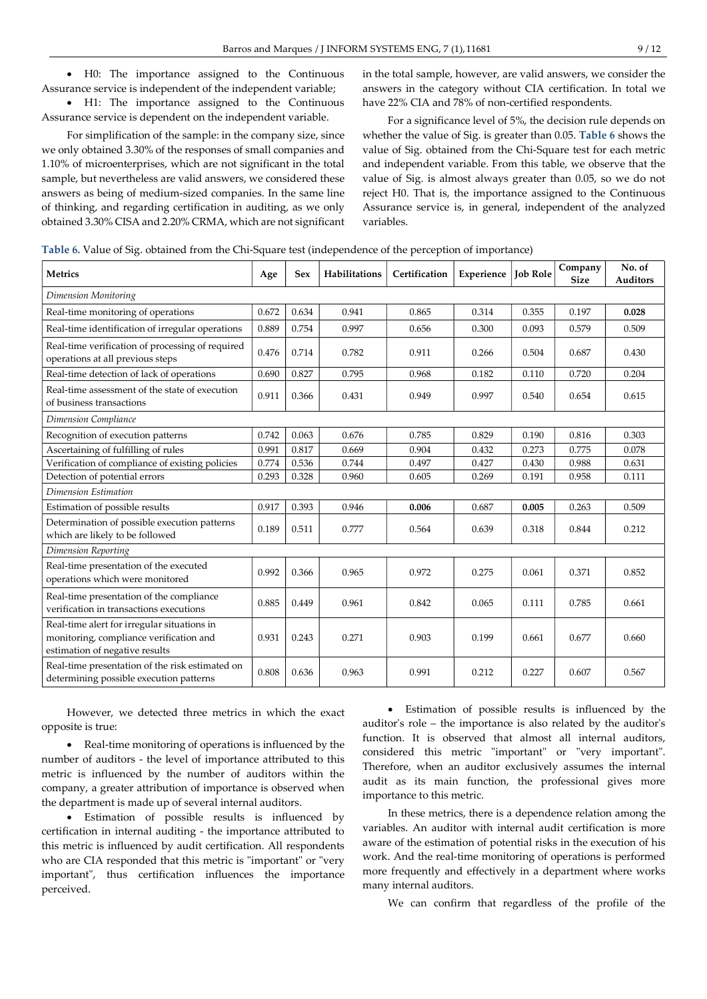H0: The importance assigned to the Continuous Assurance service is independent of the independent variable;

 H1: The importance assigned to the Continuous Assurance service is dependent on the independent variable.

For simplification of the sample: in the company size, since we only obtained 3.30% of the responses of small companies and 1.10% of microenterprises, which are not significant in the total sample, but nevertheless are valid answers, we considered these answers as being of medium-sized companies. In the same line of thinking, and regarding certification in auditing, as we only obtained 3.30% CISA and 2.20% CRMA, which are not significant in the total sample, however, are valid answers, we consider the answers in the category without CIA certification. In total we have 22% CIA and 78% of non-certified respondents.

For a significance level of 5%, the decision rule depends on whether the value of Sig. is greater than 0.05. Table 6 shows the value of Sig. obtained from the Chi-Square test for each metric and independent variable. From this table, we observe that the value of Sig. is almost always greater than 0.05, so we do not reject H0. That is, the importance assigned to the Continuous Assurance service is, in general, independent of the analyzed variables.

| Table 6. Value of Sig. obtained from the Chi-Square test (independence of the perception of importance) |  |  |  |
|---------------------------------------------------------------------------------------------------------|--|--|--|
|                                                                                                         |  |  |  |

| <b>Metrics</b>                                                                                                           | Age   | <b>Sex</b> | <b>Habilitations</b> | Certification | Experience | <b>Job Role</b> | Company<br><b>Size</b> | No. of<br><b>Auditors</b> |
|--------------------------------------------------------------------------------------------------------------------------|-------|------------|----------------------|---------------|------------|-----------------|------------------------|---------------------------|
| Dimension Monitoring                                                                                                     |       |            |                      |               |            |                 |                        |                           |
| Real-time monitoring of operations                                                                                       | 0.672 | 0.634      | 0.941                | 0.865         | 0.314      | 0.355           | 0.197                  | 0.028                     |
| Real-time identification of irregular operations                                                                         | 0.889 | 0.754      | 0.997                | 0.656         | 0.300      | 0.093           | 0.579                  | 0.509                     |
| Real-time verification of processing of required<br>operations at all previous steps                                     | 0.476 | 0.714      | 0.782                | 0.911         | 0.266      | 0.504           | 0.687                  | 0.430                     |
| Real-time detection of lack of operations                                                                                | 0.690 | 0.827      | 0.795                | 0.968         | 0.182      | 0.110           | 0.720                  | 0.204                     |
| Real-time assessment of the state of execution<br>of business transactions                                               | 0.911 | 0.366      | 0.431                | 0.949         | 0.997      | 0.540           | 0.654                  | 0.615                     |
| Dimension Compliance                                                                                                     |       |            |                      |               |            |                 |                        |                           |
| Recognition of execution patterns                                                                                        | 0.742 | 0.063      | 0.676                | 0.785         | 0.829      | 0.190           | 0.816                  | 0.303                     |
| Ascertaining of fulfilling of rules                                                                                      | 0.991 | 0.817      | 0.669                | 0.904         | 0.432      | 0.273           | 0.775                  | 0.078                     |
| Verification of compliance of existing policies                                                                          | 0.774 | 0.536      | 0.744                | 0.497         | 0.427      | 0.430           | 0.988                  | 0.631                     |
| Detection of potential errors                                                                                            | 0.293 | 0.328      | 0.960                | 0.605         | 0.269      | 0.191           | 0.958                  | 0.111                     |
| Dimension Estimation                                                                                                     |       |            |                      |               |            |                 |                        |                           |
| Estimation of possible results                                                                                           | 0.917 | 0.393      | 0.946                | 0.006         | 0.687      | 0.005           | 0.263                  | 0.509                     |
| Determination of possible execution patterns<br>which are likely to be followed                                          | 0.189 | 0.511      | 0.777                | 0.564         | 0.639      | 0.318           | 0.844                  | 0.212                     |
| Dimension Reporting                                                                                                      |       |            |                      |               |            |                 |                        |                           |
| Real-time presentation of the executed<br>operations which were monitored                                                | 0.992 | 0.366      | 0.965                | 0.972         | 0.275      | 0.061           | 0.371                  | 0.852                     |
| Real-time presentation of the compliance<br>verification in transactions executions                                      | 0.885 | 0.449      | 0.961                | 0.842         | 0.065      | 0.111           | 0.785                  | 0.661                     |
| Real-time alert for irregular situations in<br>monitoring, compliance verification and<br>estimation of negative results | 0.931 | 0.243      | 0.271                | 0.903         | 0.199      | 0.661           | 0.677                  | 0.660                     |
| Real-time presentation of the risk estimated on<br>determining possible execution patterns                               | 0.808 | 0.636      | 0.963                | 0.991         | 0.212      | 0.227           | 0.607                  | 0.567                     |

However, we detected three metrics in which the exact opposite is true:

 Real-time monitoring of operations is influenced by the number of auditors - the level of importance attributed to this metric is influenced by the number of auditors within the company, a greater attribution of importance is observed when the department is made up of several internal auditors.

 Estimation of possible results is influenced by certification in internal auditing - the importance attributed to this metric is influenced by audit certification. All respondents who are CIA responded that this metric is "important" or "very important", thus certification influences the importance perceived.

 Estimation of possible results is influenced by the auditor's role – the importance is also related by the auditor's function. It is observed that almost all internal auditors, considered this metric "important" or "very important". Therefore, when an auditor exclusively assumes the internal audit as its main function, the professional gives more importance to this metric.

In these metrics, there is a dependence relation among the variables. An auditor with internal audit certification is more aware of the estimation of potential risks in the execution of his work. And the real-time monitoring of operations is performed more frequently and effectively in a department where works many internal auditors.

We can confirm that regardless of the profile of the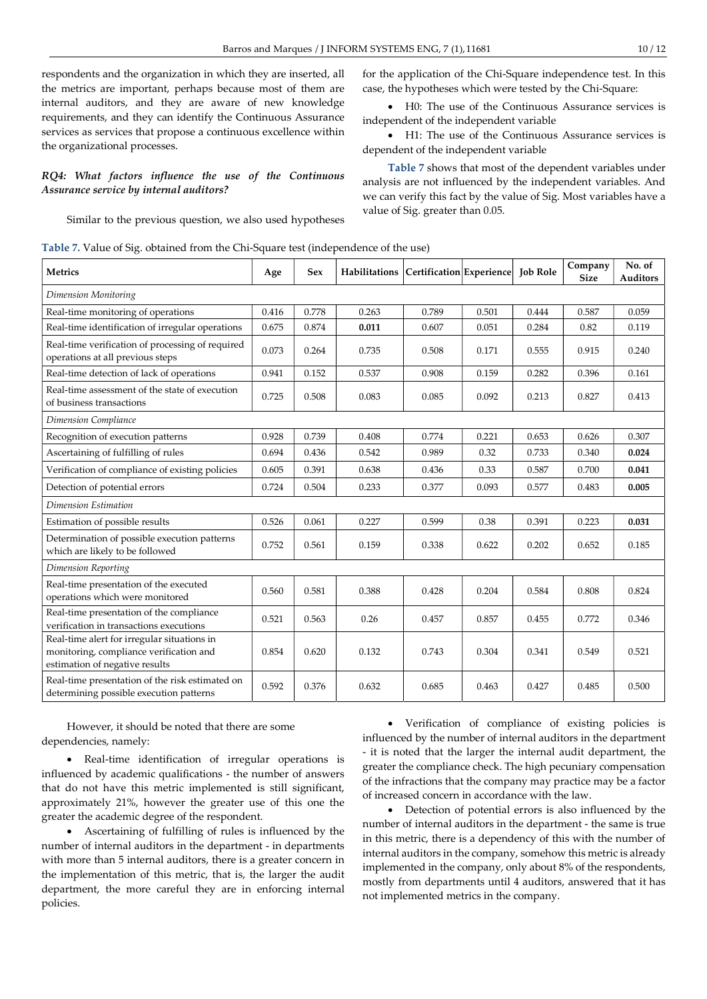respondents and the organization in which they are inserted, all the metrics are important, perhaps because most of them are internal auditors, and they are aware of new knowledge requirements, and they can identify the Continuous Assurance services as services that propose a continuous excellence within the organizational processes.

## RQ4: What factors influence the use of the Continuous Assurance service by internal auditors?

Similar to the previous question, we also used hypotheses

Table 7. Value of Sig. obtained from the Chi-Square test (independence of the use)

| <b>Metrics</b>                                                                                                           | Age   | <b>Sex</b> | Habilitations Certification Experience |       |       | <b>Job Role</b> | Company<br><b>Size</b> | No. of<br><b>Auditors</b> |
|--------------------------------------------------------------------------------------------------------------------------|-------|------------|----------------------------------------|-------|-------|-----------------|------------------------|---------------------------|
| Dimension Monitoring                                                                                                     |       |            |                                        |       |       |                 |                        |                           |
| Real-time monitoring of operations                                                                                       | 0.416 | 0.778      | 0.263                                  | 0.789 | 0.501 | 0.444           | 0.587                  | 0.059                     |
| Real-time identification of irregular operations                                                                         | 0.675 | 0.874      | 0.011                                  | 0.607 | 0.051 | 0.284           | 0.82                   | 0.119                     |
| Real-time verification of processing of required<br>operations at all previous steps                                     | 0.073 | 0.264      | 0.735                                  | 0.508 | 0.171 | 0.555           | 0.915                  | 0.240                     |
| Real-time detection of lack of operations                                                                                | 0.941 | 0.152      | 0.537                                  | 0.908 | 0.159 | 0.282           | 0.396                  | 0.161                     |
| Real-time assessment of the state of execution<br>of business transactions                                               | 0.725 | 0.508      | 0.083                                  | 0.085 | 0.092 | 0.213           | 0.827                  | 0.413                     |
| Dimension Compliance                                                                                                     |       |            |                                        |       |       |                 |                        |                           |
| Recognition of execution patterns                                                                                        | 0.928 | 0.739      | 0.408                                  | 0.774 | 0.221 | 0.653           | 0.626                  | 0.307                     |
| Ascertaining of fulfilling of rules                                                                                      | 0.694 | 0.436      | 0.542                                  | 0.989 | 0.32  | 0.733           | 0.340                  | 0.024                     |
| Verification of compliance of existing policies                                                                          | 0.605 | 0.391      | 0.638                                  | 0.436 | 0.33  | 0.587           | 0.700                  | 0.041                     |
| Detection of potential errors                                                                                            | 0.724 | 0.504      | 0.233                                  | 0.377 | 0.093 | 0.577           | 0.483                  | 0.005                     |
| Dimension Estimation                                                                                                     |       |            |                                        |       |       |                 |                        |                           |
| Estimation of possible results                                                                                           | 0.526 | 0.061      | 0.227                                  | 0.599 | 0.38  | 0.391           | 0.223                  | 0.031                     |
| Determination of possible execution patterns<br>which are likely to be followed                                          | 0.752 | 0.561      | 0.159                                  | 0.338 | 0.622 | 0.202           | 0.652                  | 0.185                     |
| Dimension Reporting                                                                                                      |       |            |                                        |       |       |                 |                        |                           |
| Real-time presentation of the executed<br>operations which were monitored                                                | 0.560 | 0.581      | 0.388                                  | 0.428 | 0.204 | 0.584           | 0.808                  | 0.824                     |
| Real-time presentation of the compliance<br>verification in transactions executions                                      | 0.521 | 0.563      | 0.26                                   | 0.457 | 0.857 | 0.455           | 0.772                  | 0.346                     |
| Real-time alert for irregular situations in<br>monitoring, compliance verification and<br>estimation of negative results | 0.854 | 0.620      | 0.132                                  | 0.743 | 0.304 | 0.341           | 0.549                  | 0.521                     |
| Real-time presentation of the risk estimated on<br>determining possible execution patterns                               | 0.592 | 0.376      | 0.632                                  | 0.685 | 0.463 | 0.427           | 0.485                  | 0.500                     |

However, it should be noted that there are some dependencies, namely:

 Real-time identification of irregular operations is influenced by academic qualifications - the number of answers that do not have this metric implemented is still significant, approximately 21%, however the greater use of this one the greater the academic degree of the respondent.

 Ascertaining of fulfilling of rules is influenced by the number of internal auditors in the department - in departments with more than 5 internal auditors, there is a greater concern in the implementation of this metric, that is, the larger the audit department, the more careful they are in enforcing internal policies.

 Verification of compliance of existing policies is influenced by the number of internal auditors in the department - it is noted that the larger the internal audit department, the greater the compliance check. The high pecuniary compensation of the infractions that the company may practice may be a factor of increased concern in accordance with the law.

 Detection of potential errors is also influenced by the number of internal auditors in the department - the same is true in this metric, there is a dependency of this with the number of internal auditors in the company, somehow this metric is already implemented in the company, only about 8% of the respondents, mostly from departments until 4 auditors, answered that it has not implemented metrics in the company.

for the application of the Chi-Square independence test. In this case, the hypotheses which were tested by the Chi-Square:

 H0: The use of the Continuous Assurance services is independent of the independent variable

 H1: The use of the Continuous Assurance services is dependent of the independent variable

Table 7 shows that most of the dependent variables under analysis are not influenced by the independent variables. And we can verify this fact by the value of Sig. Most variables have a value of Sig. greater than 0.05.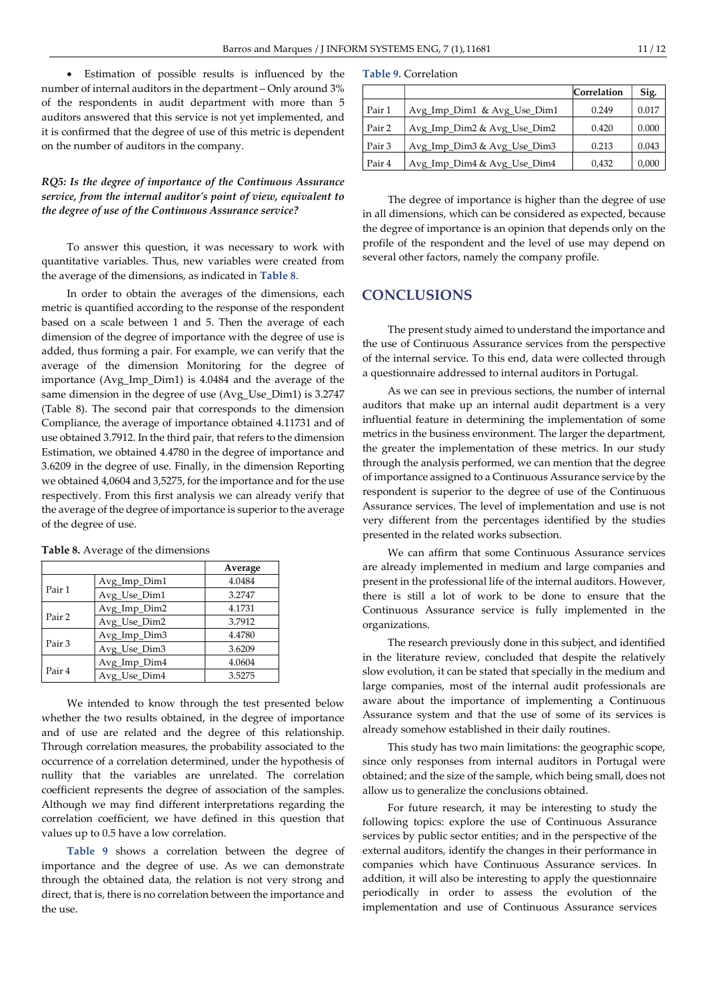Estimation of possible results is influenced by the number of internal auditors in the department – Only around 3% of the respondents in audit department with more than 5 auditors answered that this service is not yet implemented, and it is confirmed that the degree of use of this metric is dependent on the number of auditors in the company.

## RQ5: Is the degree of importance of the Continuous Assurance service, from the internal auditor's point of view, equivalent to the degree of use of the Continuous Assurance service?

To answer this question, it was necessary to work with quantitative variables. Thus, new variables were created from the average of the dimensions, as indicated in Table 8.

In order to obtain the averages of the dimensions, each metric is quantified according to the response of the respondent based on a scale between 1 and 5. Then the average of each dimension of the degree of importance with the degree of use is added, thus forming a pair. For example, we can verify that the average of the dimension Monitoring for the degree of importance (Avg\_Imp\_Dim1) is 4.0484 and the average of the same dimension in the degree of use (Avg\_Use\_Dim1) is 3.2747 (Table 8). The second pair that corresponds to the dimension Compliance, the average of importance obtained 4.11731 and of use obtained 3.7912. In the third pair, that refers to the dimension Estimation, we obtained 4.4780 in the degree of importance and 3.6209 in the degree of use. Finally, in the dimension Reporting we obtained 4,0604 and 3,5275, for the importance and for the use respectively. From this first analysis we can already verify that the average of the degree of importance is superior to the average of the degree of use.

|        |              | Average |
|--------|--------------|---------|
|        | Avg_Imp_Dim1 | 4.0484  |
| Pair 1 | Avg_Use_Dim1 | 3.2747  |
|        | Avg_Imp_Dim2 | 4.1731  |
| Pair 2 | Avg Use Dim2 | 3.7912  |
|        | Avg_Imp_Dim3 | 4.4780  |
| Pair 3 | Avg_Use_Dim3 | 3.6209  |
|        | Avg_Imp_Dim4 | 4.0604  |
| Pair 4 | Avg Use Dim4 | 3.5275  |

Table 8. Average of the dimensions

We intended to know through the test presented below whether the two results obtained, in the degree of importance and of use are related and the degree of this relationship. Through correlation measures, the probability associated to the occurrence of a correlation determined, under the hypothesis of nullity that the variables are unrelated. The correlation coefficient represents the degree of association of the samples. Although we may find different interpretations regarding the correlation coefficient, we have defined in this question that values up to 0.5 have a low correlation.

Table 9 shows a correlation between the degree of importance and the degree of use. As we can demonstrate through the obtained data, the relation is not very strong and direct, that is, there is no correlation between the importance and the use.

|        |                             | Correlation | Sig.  |
|--------|-----------------------------|-------------|-------|
| Pair 1 | Avg_Imp_Dim1 & Avg_Use_Dim1 | 0.249       | 0.017 |
| Pair 2 | Avg_Imp_Dim2 & Avg_Use_Dim2 | 0.420       | 0.000 |
| Pair 3 | Avg_Imp_Dim3 & Avg_Use_Dim3 | 0.213       | 0.043 |
| Pair 4 | Avg_Imp_Dim4 & Avg_Use_Dim4 | 0.432       | 0,000 |

The degree of importance is higher than the degree of use in all dimensions, which can be considered as expected, because the degree of importance is an opinion that depends only on the profile of the respondent and the level of use may depend on several other factors, namely the company profile.

# **CONCLUSIONS**

The present study aimed to understand the importance and the use of Continuous Assurance services from the perspective of the internal service. To this end, data were collected through a questionnaire addressed to internal auditors in Portugal.

As we can see in previous sections, the number of internal auditors that make up an internal audit department is a very influential feature in determining the implementation of some metrics in the business environment. The larger the department, the greater the implementation of these metrics. In our study through the analysis performed, we can mention that the degree of importance assigned to a Continuous Assurance service by the respondent is superior to the degree of use of the Continuous Assurance services. The level of implementation and use is not very different from the percentages identified by the studies presented in the related works subsection.

We can affirm that some Continuous Assurance services are already implemented in medium and large companies and present in the professional life of the internal auditors. However, there is still a lot of work to be done to ensure that the Continuous Assurance service is fully implemented in the organizations.

The research previously done in this subject, and identified in the literature review, concluded that despite the relatively slow evolution, it can be stated that specially in the medium and large companies, most of the internal audit professionals are aware about the importance of implementing a Continuous Assurance system and that the use of some of its services is already somehow established in their daily routines.

This study has two main limitations: the geographic scope, since only responses from internal auditors in Portugal were obtained; and the size of the sample, which being small, does not allow us to generalize the conclusions obtained.

For future research, it may be interesting to study the following topics: explore the use of Continuous Assurance services by public sector entities; and in the perspective of the external auditors, identify the changes in their performance in companies which have Continuous Assurance services. In addition, it will also be interesting to apply the questionnaire periodically in order to assess the evolution of the implementation and use of Continuous Assurance services